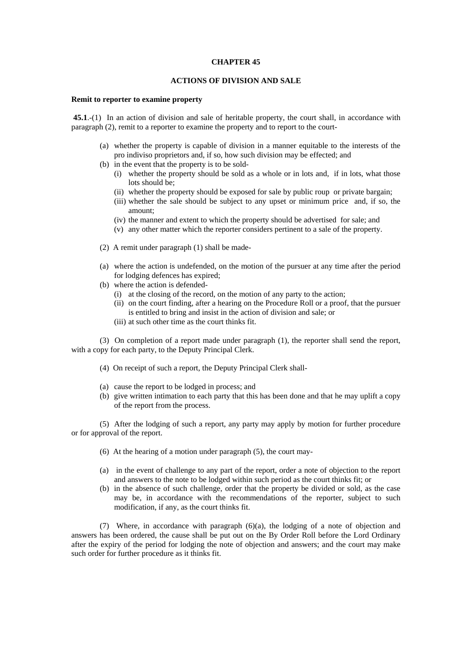## **CHAPTER 45**

## **ACTIONS OF DIVISION AND SALE**

## **Remit to reporter to examine property**

**45.1**.-(1) In an action of division and sale of heritable property, the court shall, in accordance with paragraph (2), remit to a reporter to examine the property and to report to the court-

- (a) whether the property is capable of division in a manner equitable to the interests of the pro indiviso proprietors and, if so, how such division may be effected; and
- (b) in the event that the property is to be sold-
	- (i) whether the property should be sold as a whole or in lots and, if in lots, what those lots should be;
	- (ii) whether the property should be exposed for sale by public roup or private bargain;
	- (iii) whether the sale should be subject to any upset or minimum price and, if so, the amount;
	- (iv) the manner and extent to which the property should be advertised for sale; and
	- (v) any other matter which the reporter considers pertinent to a sale of the property.
- (2) A remit under paragraph (1) shall be made-
- (a) where the action is undefended, on the motion of the pursuer at any time after the period for lodging defences has expired;
- (b) where the action is defended-
	- (i) at the closing of the record, on the motion of any party to the action;
	- (ii) on the court finding, after a hearing on the Procedure Roll or a proof, that the pursuer is entitled to bring and insist in the action of division and sale; or
	- (iii) at such other time as the court thinks fit.

 (3) On completion of a report made under paragraph (1), the reporter shall send the report, with a copy for each party, to the Deputy Principal Clerk.

- (4) On receipt of such a report, the Deputy Principal Clerk shall-
- (a) cause the report to be lodged in process; and
- (b) give written intimation to each party that this has been done and that he may uplift a copy of the report from the process.

 (5) After the lodging of such a report, any party may apply by motion for further procedure or for approval of the report.

- (6) At the hearing of a motion under paragraph (5), the court may-
- (a) in the event of challenge to any part of the report, order a note of objection to the report and answers to the note to be lodged within such period as the court thinks fit; or
- (b) in the absence of such challenge, order that the property be divided or sold, as the case may be, in accordance with the recommendations of the reporter, subject to such modification, if any, as the court thinks fit.

 (7) Where, in accordance with paragraph (6)(a), the lodging of a note of objection and answers has been ordered, the cause shall be put out on the By Order Roll before the Lord Ordinary after the expiry of the period for lodging the note of objection and answers; and the court may make such order for further procedure as it thinks fit.